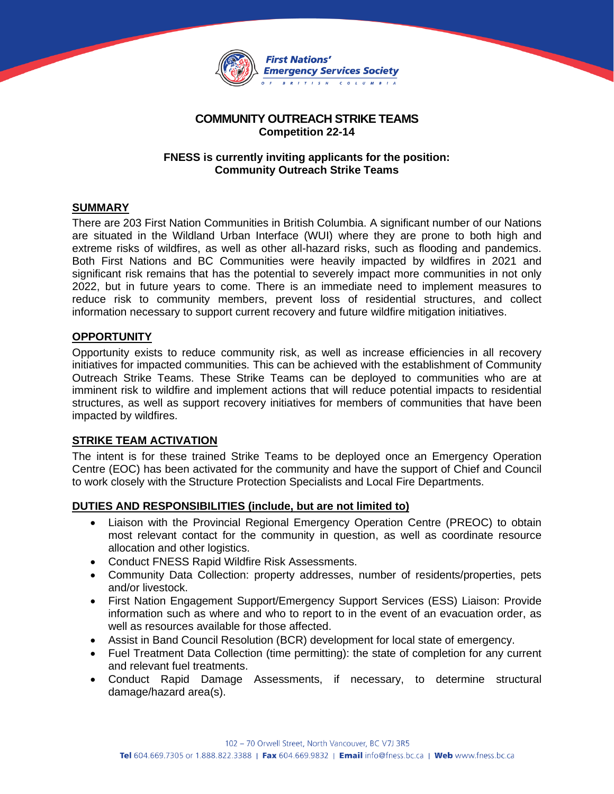

# **COMMUNITY OUTREACH STRIKE TEAMS Competition 22-14**

## **FNESS is currently inviting applicants for the position: Community Outreach Strike Teams**

# **SUMMARY**

There are 203 First Nation Communities in British Columbia. A significant number of our Nations are situated in the Wildland Urban Interface (WUI) where they are prone to both high and extreme risks of wildfires, as well as other all-hazard risks, such as flooding and pandemics. Both First Nations and BC Communities were heavily impacted by wildfires in 2021 and significant risk remains that has the potential to severely impact more communities in not only 2022, but in future years to come. There is an immediate need to implement measures to reduce risk to community members, prevent loss of residential structures, and collect information necessary to support current recovery and future wildfire mitigation initiatives.

## **OPPORTUNITY**

Opportunity exists to reduce community risk, as well as increase efficiencies in all recovery initiatives for impacted communities. This can be achieved with the establishment of Community Outreach Strike Teams. These Strike Teams can be deployed to communities who are at imminent risk to wildfire and implement actions that will reduce potential impacts to residential structures, as well as support recovery initiatives for members of communities that have been impacted by wildfires.

## **STRIKE TEAM ACTIVATION**

The intent is for these trained Strike Teams to be deployed once an Emergency Operation Centre (EOC) has been activated for the community and have the support of Chief and Council to work closely with the Structure Protection Specialists and Local Fire Departments.

#### **DUTIES AND RESPONSIBILITIES (include, but are not limited to)**

- Liaison with the Provincial Regional Emergency Operation Centre (PREOC) to obtain most relevant contact for the community in question, as well as coordinate resource allocation and other logistics.
- Conduct FNESS Rapid Wildfire Risk Assessments.
- Community Data Collection: property addresses, number of residents/properties, pets and/or livestock.
- First Nation Engagement Support/Emergency Support Services (ESS) Liaison: Provide information such as where and who to report to in the event of an evacuation order, as well as resources available for those affected.
- Assist in Band Council Resolution (BCR) development for local state of emergency.
- Fuel Treatment Data Collection (time permitting): the state of completion for any current and relevant fuel treatments.
- Conduct Rapid Damage Assessments, if necessary, to determine structural damage/hazard area(s).